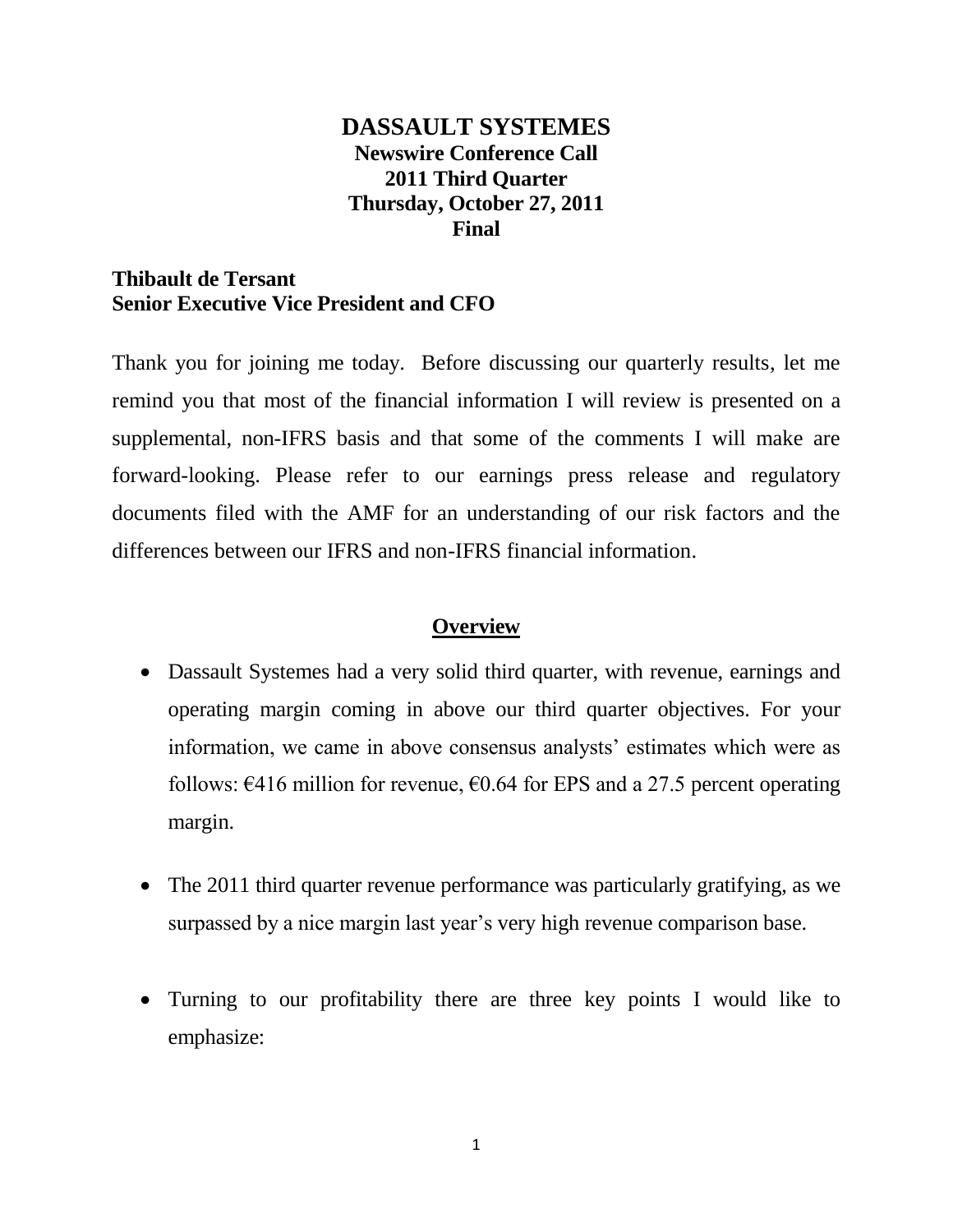## **DASSAULT SYSTEMES Newswire Conference Call 2011 Third Quarter Thursday, October 27, 2011 Final**

### **Thibault de Tersant Senior Executive Vice President and CFO**

Thank you for joining me today. Before discussing our quarterly results, let me remind you that most of the financial information I will review is presented on a supplemental, non-IFRS basis and that some of the comments I will make are forward-looking. Please refer to our earnings press release and regulatory documents filed with the AMF for an understanding of our risk factors and the differences between our IFRS and non-IFRS financial information.

## **Overview**

- Dassault Systemes had a very solid third quarter, with revenue, earnings and operating margin coming in above our third quarter objectives. For your information, we came in above consensus analysts' estimates which were as follows:  $\epsilon$ 416 million for revenue,  $\epsilon$ 0.64 for EPS and a 27.5 percent operating margin.
- The 2011 third quarter revenue performance was particularly gratifying, as we surpassed by a nice margin last year's very high revenue comparison base.
- Turning to our profitability there are three key points I would like to emphasize: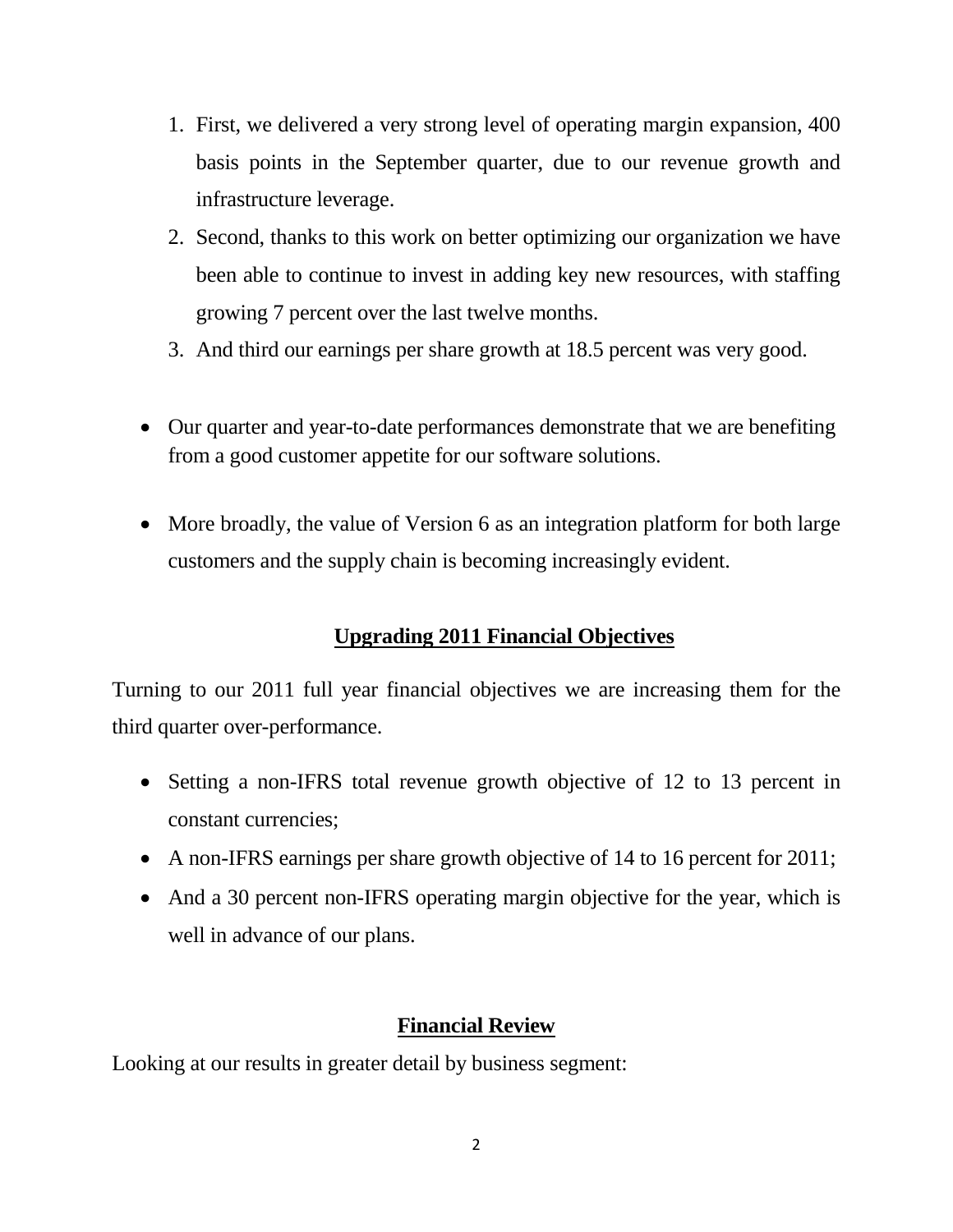- 1. First, we delivered a very strong level of operating margin expansion, 400 basis points in the September quarter, due to our revenue growth and infrastructure leverage.
- 2. Second, thanks to this work on better optimizing our organization we have been able to continue to invest in adding key new resources, with staffing growing 7 percent over the last twelve months.
- 3. And third our earnings per share growth at 18.5 percent was very good.
- Our quarter and year-to-date performances demonstrate that we are benefiting from a good customer appetite for our software solutions.
- More broadly, the value of Version 6 as an integration platform for both large customers and the supply chain is becoming increasingly evident.

# **Upgrading 2011 Financial Objectives**

Turning to our 2011 full year financial objectives we are increasing them for the third quarter over-performance.

- Setting a non-IFRS total revenue growth objective of 12 to 13 percent in constant currencies;
- A non-IFRS earnings per share growth objective of 14 to 16 percent for 2011;
- And a 30 percent non-IFRS operating margin objective for the year, which is well in advance of our plans.

## **Financial Review**

Looking at our results in greater detail by business segment: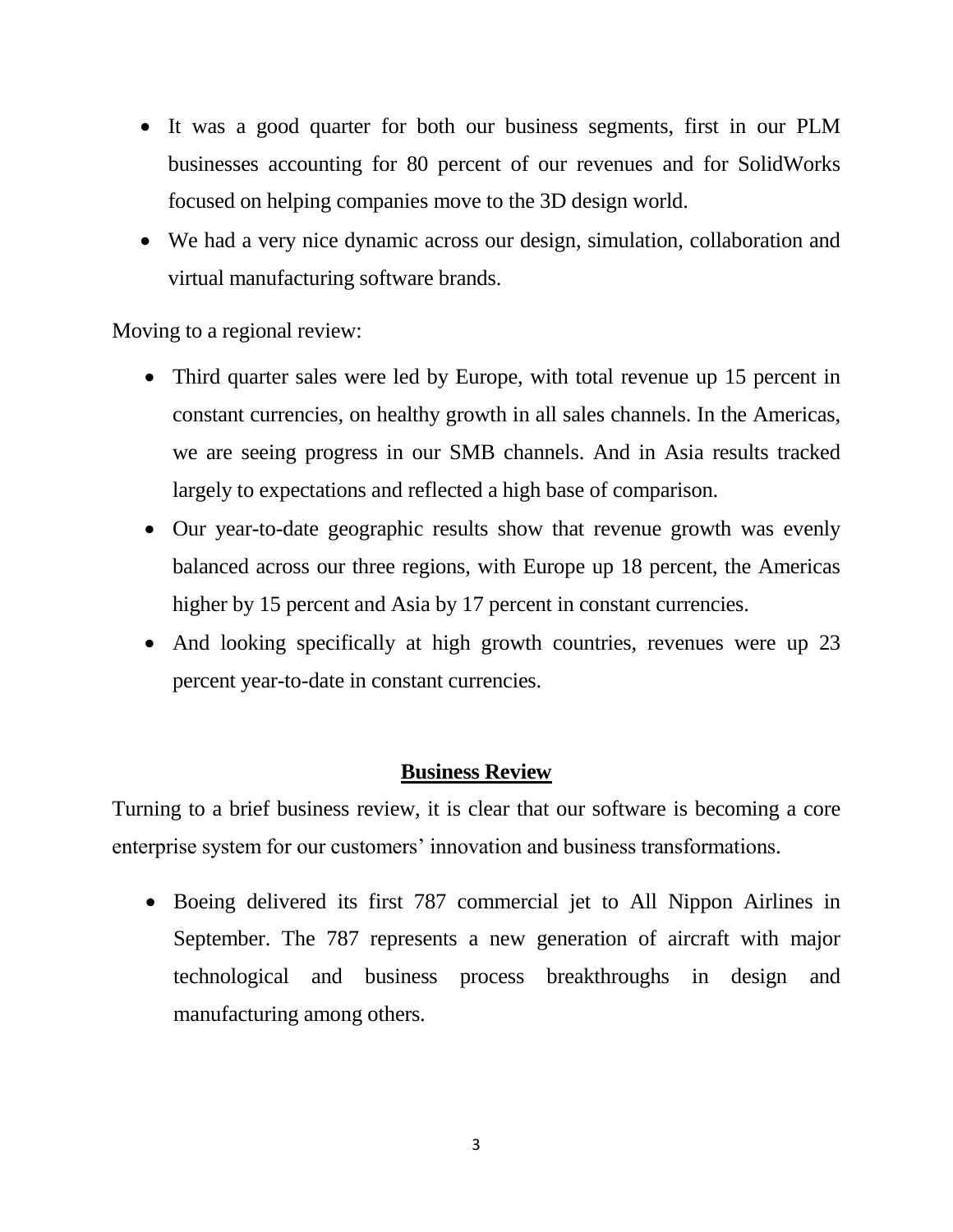- It was a good quarter for both our business segments, first in our PLM businesses accounting for 80 percent of our revenues and for SolidWorks focused on helping companies move to the 3D design world.
- We had a very nice dynamic across our design, simulation, collaboration and virtual manufacturing software brands.

Moving to a regional review:

- Third quarter sales were led by Europe, with total revenue up 15 percent in constant currencies, on healthy growth in all sales channels. In the Americas, we are seeing progress in our SMB channels. And in Asia results tracked largely to expectations and reflected a high base of comparison.
- Our year-to-date geographic results show that revenue growth was evenly balanced across our three regions, with Europe up 18 percent, the Americas higher by 15 percent and Asia by 17 percent in constant currencies.
- And looking specifically at high growth countries, revenues were up 23 percent year-to-date in constant currencies.

### **Business Review**

Turning to a brief business review, it is clear that our software is becoming a core enterprise system for our customers' innovation and business transformations.

 Boeing delivered its first 787 commercial jet to All Nippon Airlines in September. The 787 represents a new generation of aircraft with major technological and business process breakthroughs in design and manufacturing among others.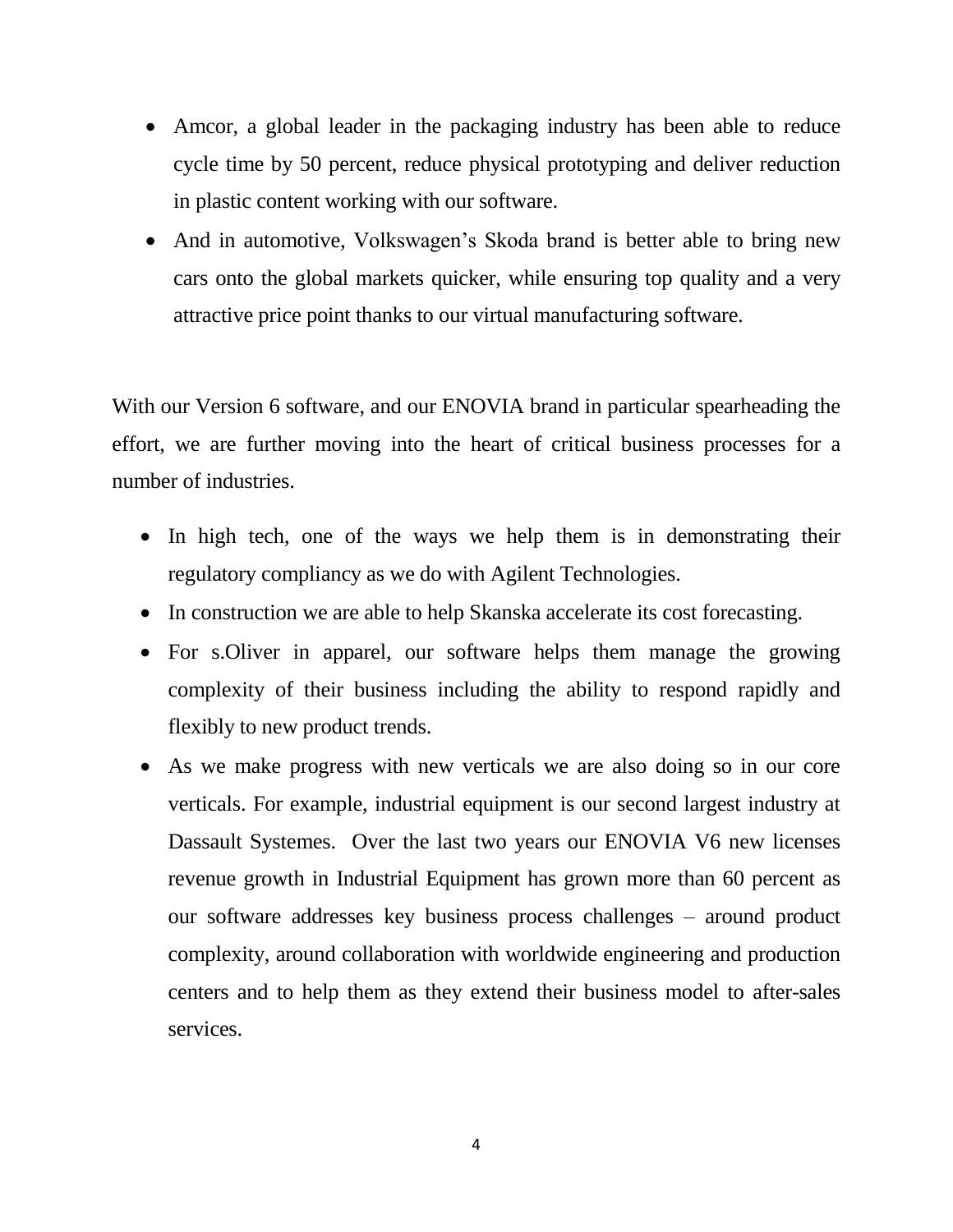- Amcor, a global leader in the packaging industry has been able to reduce cycle time by 50 percent, reduce physical prototyping and deliver reduction in plastic content working with our software.
- And in automotive, Volkswagen's Skoda brand is better able to bring new cars onto the global markets quicker, while ensuring top quality and a very attractive price point thanks to our virtual manufacturing software.

With our Version 6 software, and our ENOVIA brand in particular spearheading the effort, we are further moving into the heart of critical business processes for a number of industries.

- In high tech, one of the ways we help them is in demonstrating their regulatory compliancy as we do with Agilent Technologies.
- In construction we are able to help Skanska accelerate its cost forecasting.
- For s. Oliver in apparel, our software helps them manage the growing complexity of their business including the ability to respond rapidly and flexibly to new product trends.
- As we make progress with new verticals we are also doing so in our core verticals. For example, industrial equipment is our second largest industry at Dassault Systemes. Over the last two years our ENOVIA V6 new licenses revenue growth in Industrial Equipment has grown more than 60 percent as our software addresses key business process challenges – around product complexity, around collaboration with worldwide engineering and production centers and to help them as they extend their business model to after-sales services.